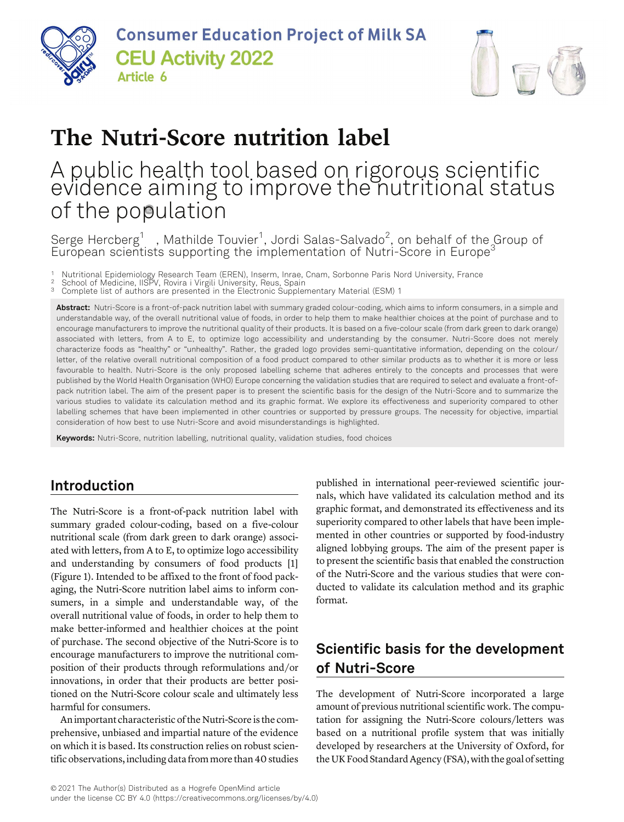



# The Nutri-Score nutrition label

# A public health tool based on rigorous scientific evidence aiming to improve the nutritional status of the population

Serge Hercberg<sup>1</sup> , Mathilde Touvier<sup>1</sup>, Jordi Salas-Salvado<sup>2</sup>, on behalf of the Group of European scientists supporting the implementation of Nutri-Score in Europe<sup>3</sup>

1 Nutritional Epidemiology Research Team (EREN), Inserm, Inrae, Cnam, Sorbonne Paris Nord University, France 2 School of Medicine, IISPV, Rovira i Virgili University, Reus, Spain

- 
- 3 Complete list of authors are presented in the Electronic Supplementary Material (ESM) 1

Abstract: Nutri-Score is a front-of-pack nutrition label with summary graded colour-coding, which aims to inform consumers, in a simple and understandable way, of the overall nutritional value of foods, in order to help them to make healthier choices at the point of purchase and to encourage manufacturers to improve the nutritional quality of their products. It is based on a five-colour scale (from dark green to dark orange) associated with letters, from A to E, to optimize logo accessibility and understanding by the consumer. Nutri-Score does not merely characterize foods as "healthy" or "unhealthy". Rather, the graded logo provides semi-quantitative information, depending on the colour/ letter, of the relative overall nutritional composition of a food product compared to other similar products as to whether it is more or less favourable to health. Nutri-Score is the only proposed labelling scheme that adheres entirely to the concepts and processes that were published by the World Health Organisation (WHO) Europe concerning the validation studies that are required to select and evaluate a front-ofpack nutrition label. The aim of the present paper is to present the scientific basis for the design of the Nutri-Score and to summarize the various studies to validate its calculation method and its graphic format. We explore its effectiveness and superiority compared to other labelling schemes that have been implemented in other countries or supported by pressure groups. The necessity for objective, impartial consideration of how best to use Nutri-Score and avoid misunderstandings is highlighted.

Keywords: Nutri-Score, nutrition labelling, nutritional quality, validation studies, food choices

### Introduction

The Nutri-Score is a front-of-pack nutrition label with summary graded colour-coding, based on a five-colour nutritional scale (from dark green to dark orange) associated with letters, from A to E, to optimize logo accessibility and understanding by consumers of food products [1] (Figure 1). Intended to be affixed to the front of food packaging, the Nutri-Score nutrition label aims to inform consumers, in a simple and understandable way, of the overall nutritional value of foods, in order to help them to make better-informed and healthier choices at the point of purchase. The second objective of the Nutri-Score is to encourage manufacturers to improve the nutritional composition of their products through reformulations and/or innovations, in order that their products are better positioned on the Nutri-Score colour scale and ultimately less harmful for consumers.

An important characteristic of the Nutri-Score is the comprehensive, unbiased and impartial nature of the evidence on which it is based. Its construction relies on robust scientific observations, including data from more than 40 studies published in international peer-reviewed scientific journals, which have validated its calculation method and its graphic format, and demonstrated its effectiveness and its superiority compared to other labels that have been implemented in other countries or supported by food-industry aligned lobbying groups. The aim of the present paper is to present the scientific basis that enabled the construction of the Nutri-Score and the various studies that were conducted to validate its calculation method and its graphic format.

## Scientific basis for the development of Nutri-Score

The development of Nutri-Score incorporated a large amount of previous nutritional scientific work. The computation for assigning the Nutri-Score colours/letters was based on a nutritional profile system that was initially developed by researchers at the University of Oxford, for the UK Food Standard Agency (FSA), with the goal of setting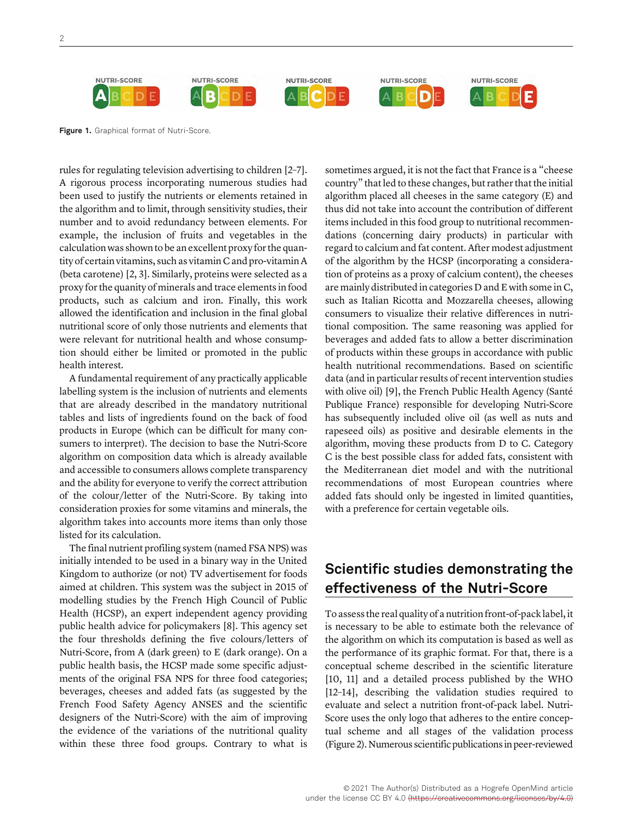

Figure 1. Graphical format of Nutri-Score.

rules for regulating television advertising to children [2–7]. A rigorous process incorporating numerous studies had been used to justify the nutrients or elements retained in the algorithm and to limit, through sensitivity studies, their number and to avoid redundancy between elements. For example, the inclusion of fruits and vegetables in the calculation was shown to be an excellent proxy for the quantity of certain vitamins, such as vitamin C and pro-vitamin A (beta carotene) [2, 3]. Similarly, proteins were selected as a proxy for the quanity of minerals and trace elements in food products, such as calcium and iron. Finally, this work allowed the identification and inclusion in the final global nutritional score of only those nutrients and elements that were relevant for nutritional health and whose consumption should either be limited or promoted in the public health interest.

A fundamental requirement of any practically applicable labelling system is the inclusion of nutrients and elements that are already described in the mandatory nutritional tables and lists of ingredients found on the back of food products in Europe (which can be difficult for many consumers to interpret). The decision to base the Nutri-Score algorithm on composition data which is already available and accessible to consumers allows complete transparency and the ability for everyone to verify the correct attribution of the colour/letter of the Nutri-Score. By taking into consideration proxies for some vitamins and minerals, the algorithm takes into accounts more items than only those listed for its calculation.

The final nutrient profiling system (named FSA NPS) was initially intended to be used in a binary way in the United Kingdom to authorize (or not) TV advertisement for foods aimed at children. This system was the subject in 2015 of modelling studies by the French High Council of Public Health (HCSP), an expert independent agency providing public health advice for policymakers [8]. This agency set the four thresholds defining the five colours/letters of Nutri-Score, from A (dark green) to E (dark orange). On a public health basis, the HCSP made some specific adjustments of the original FSA NPS for three food categories; beverages, cheeses and added fats (as suggested by the French Food Safety Agency ANSES and the scientific designers of the Nutri-Score) with the aim of improving the evidence of the variations of the nutritional quality within these three food groups. Contrary to what is

sometimes argued, it is not the fact that France is a "cheese country" that led to these changes, but rather that the initial algorithm placed all cheeses in the same category (E) and thus did not take into account the contribution of different items included in this food group to nutritional recommendations (concerning dairy products) in particular with regard to calcium and fat content. After modest adjustment of the algorithm by the HCSP (incorporating a consideration of proteins as a proxy of calcium content), the cheeses are mainly distributed in categories D and E with some in C, such as Italian Ricotta and Mozzarella cheeses, allowing consumers to visualize their relative differences in nutritional composition. The same reasoning was applied for beverages and added fats to allow a better discrimination of products within these groups in accordance with public health nutritional recommendations. Based on scientific data (and in particular results of recent intervention studies with olive oil) [9], the French Public Health Agency (Santé Publique France) responsible for developing Nutri-Score has subsequently included olive oil (as well as nuts and rapeseed oils) as positive and desirable elements in the algorithm, moving these products from D to C. Category C is the best possible class for added fats, consistent with the Mediterranean diet model and with the nutritional recommendations of most European countries where added fats should only be ingested in limited quantities, with a preference for certain vegetable oils.

### Scientific studies demonstrating the effectiveness of the Nutri-Score

To assess the real quality of a nutrition front-of-pack label, it is necessary to be able to estimate both the relevance of the algorithm on which its computation is based as well as the performance of its graphic format. For that, there is a conceptual scheme described in the scientific literature [10, 11] and a detailed process published by the WHO [12–14], describing the validation studies required to evaluate and select a nutrition front-of-pack label. Nutri-Score uses the only logo that adheres to the entire conceptual scheme and all stages of the validation process (Figure 2). Numerous scientific publications in peer-reviewed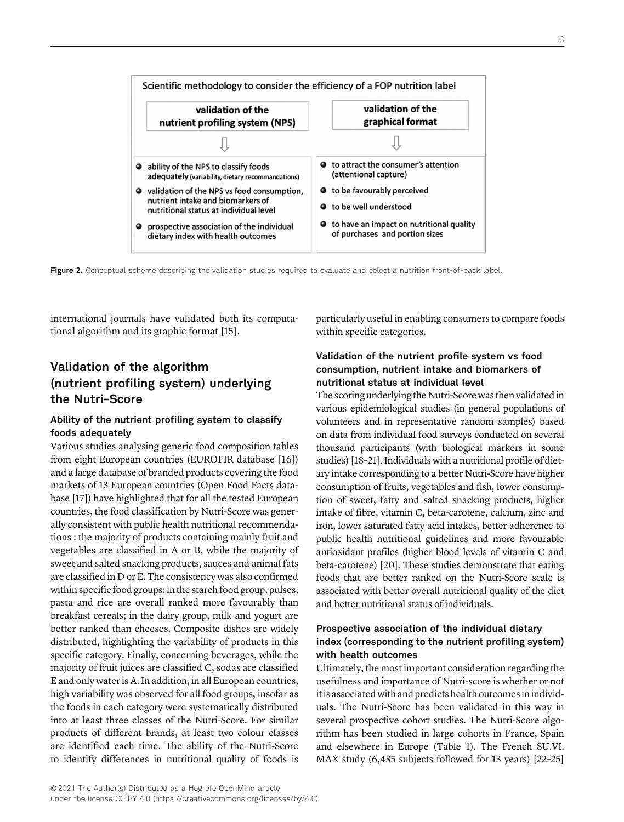

international journals have validated both its computational algorithm and its graphic format [15].

### Validation of the algorithm (nutrient profiling system) underlying the Nutri-Score

### Ability of the nutrient profiling system to classify foods adequately

Various studies analysing generic food composition tables from eight European countries (EUROFIR database [16]) and a large database of branded products covering the food markets of 13 European countries (Open Food Facts database [17]) have highlighted that for all the tested European countries, the food classification by Nutri-Score was generally consistent with public health nutritional recommendations : the majority of products containing mainly fruit and vegetables are classified in A or B, while the majority of sweet and salted snacking products, sauces and animal fats are classified in D or E. The consistency was also confirmed within specific food groups: in the starch food group, pulses, pasta and rice are overall ranked more favourably than breakfast cereals; in the dairy group, milk and yogurt are better ranked than cheeses. Composite dishes are widely distributed, highlighting the variability of products in this specific category. Finally, concerning beverages, while the majority of fruit juices are classified C, sodas are classified E and only water is A. In addition, in all European countries, high variability was observed for all food groups, insofar as the foods in each category were systematically distributed into at least three classes of the Nutri-Score. For similar products of different brands, at least two colour classes are identified each time. The ability of the Nutri-Score to identify differences in nutritional quality of foods is

particularly useful in enabling consumers to compare foods within specific categories.

### Validation of the nutrient profile system vs food consumption, nutrient intake and biomarkers of nutritional status at individual level

The scoring underlying the Nutri-Score was then validated in various epidemiological studies (in general populations of volunteers and in representative random samples) based on data from individual food surveys conducted on several thousand participants (with biological markers in some studies) [18–21]. Individuals with a nutritional profile of dietary intake corresponding to a better Nutri-Score have higher consumption of fruits, vegetables and fish, lower consumption of sweet, fatty and salted snacking products, higher intake of fibre, vitamin C, beta-carotene, calcium, zinc and iron, lower saturated fatty acid intakes, better adherence to public health nutritional guidelines and more favourable antioxidant profiles (higher blood levels of vitamin C and beta-carotene) [20]. These studies demonstrate that eating foods that are better ranked on the Nutri-Score scale is associated with better overall nutritional quality of the diet and better nutritional status of individuals.

### Prospective association of the individual dietary index (corresponding to the nutrient profiling system) with health outcomes

Ultimately, the most important consideration regarding the usefulness and importance of Nutri-score is whether or not it is associated with and predicts health outcomesin individuals. The Nutri-Score has been validated in this way in several prospective cohort studies. The Nutri-Score algorithm has been studied in large cohorts in France, Spain and elsewhere in Europe (Table 1). The French SU.VI. MAX study (6,435 subjects followed for 13 years) [22–25]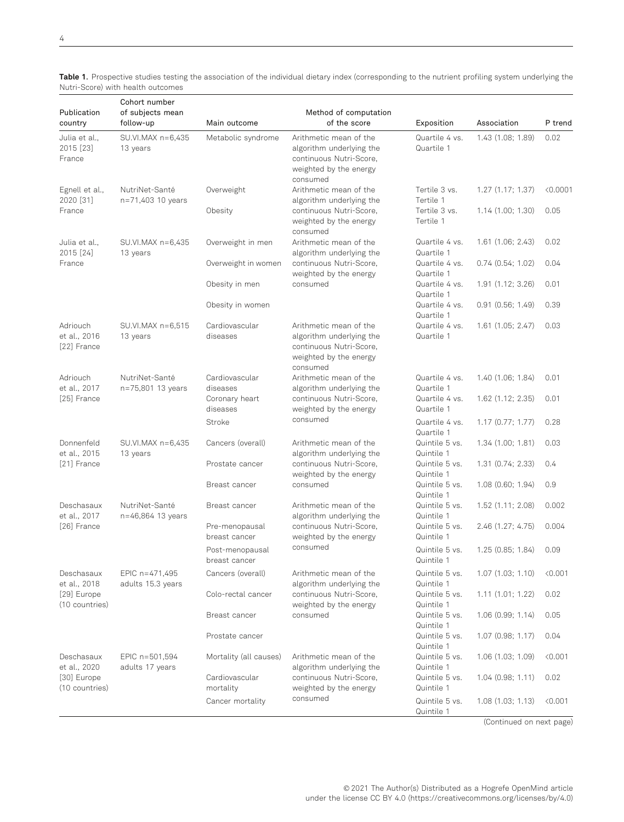Cohort number

| Publication                                                 | of subjects mean                    | Method of computation            |                                                                                                                     |                              |                   |          |  |
|-------------------------------------------------------------|-------------------------------------|----------------------------------|---------------------------------------------------------------------------------------------------------------------|------------------------------|-------------------|----------|--|
| country                                                     | follow-up                           | Main outcome                     | of the score                                                                                                        | Exposition                   | Association       | P trend  |  |
| Julia et al.,<br>2015 [23]<br>France                        | SU.VI.MAX n=6,435<br>13 years       | Metabolic syndrome               | Arithmetic mean of the<br>algorithm underlying the<br>continuous Nutri-Score,<br>weighted by the energy<br>consumed | Quartile 4 vs.<br>Quartile 1 | 1.43 (1.08; 1.89) | 0.02     |  |
| Egnell et al.,<br>2020 [31]<br>France                       | NutriNet-Santé<br>n=71,403 10 years | Overweight                       | Arithmetic mean of the<br>algorithm underlying the                                                                  | Tertile 3 vs.<br>Tertile 1   | 1.27(1.17; 1.37)  | < 0.0001 |  |
|                                                             |                                     | Obesity                          | continuous Nutri-Score,<br>weighted by the energy<br>consumed                                                       | Tertile 3 vs.<br>Tertile 1   | 1.14(1.00; 1.30)  | 0.05     |  |
| Julia et al.,<br>2015 [24]<br>France                        | SU.VI.MAX n=6,435<br>13 years       | Overweight in men                | Arithmetic mean of the<br>algorithm underlying the                                                                  | Quartile 4 vs.<br>Quartile 1 | 1.61(1.06; 2.43)  | 0.02     |  |
|                                                             |                                     | Overweight in women              | continuous Nutri-Score,<br>weighted by the energy                                                                   | Quartile 4 vs.<br>Quartile 1 | 0.74(0.54; 1.02)  | 0.04     |  |
|                                                             |                                     | Obesity in men                   | consumed                                                                                                            | Quartile 4 vs.<br>Quartile 1 | 1.91(1.12; 3.26)  | 0.01     |  |
|                                                             |                                     | Obesity in women                 |                                                                                                                     | Quartile 4 vs.<br>Quartile 1 | 0.91(0.56; 1.49)  | 0.39     |  |
| Adriouch<br>et al., 2016<br>[22] France                     | SU.VI.MAX n=6,515<br>13 years       | Cardiovascular<br>diseases       | Arithmetic mean of the<br>algorithm underlying the<br>continuous Nutri-Score,<br>weighted by the energy<br>consumed | Quartile 4 vs.<br>Quartile 1 | 1.61(1.05; 2.47)  | 0.03     |  |
| Adriouch<br>et al., 2017                                    | NutriNet-Santé<br>n=75,801 13 years | Cardiovascular<br>diseases       | Arithmetic mean of the<br>algorithm underlying the                                                                  | Quartile 4 vs.<br>Quartile 1 | 1.40 (1.06; 1.84) | 0.01     |  |
| [25] France                                                 |                                     | Coronary heart<br>diseases       | continuous Nutri-Score,<br>weighted by the energy                                                                   | Quartile 4 vs.<br>Quartile 1 | 1.62 (1.12; 2.35) | 0.01     |  |
|                                                             |                                     | Stroke                           | consumed                                                                                                            | Quartile 4 vs.<br>Quartile 1 | 1.17(0.77; 1.77)  | 0.28     |  |
| Donnenfeld<br>et al., 2015<br>[21] France                   | SU.VI.MAX n=6,435<br>13 years       | Cancers (overall)                | Arithmetic mean of the<br>algorithm underlying the                                                                  | Quintile 5 vs.<br>Quintile 1 | 1.34(1.00; 1.81)  | 0.03     |  |
|                                                             |                                     | Prostate cancer                  | continuous Nutri-Score,<br>weighted by the energy                                                                   | Quintile 5 vs.<br>Quintile 1 | 1.31 (0.74; 2.33) | 0.4      |  |
|                                                             |                                     | Breast cancer                    | consumed                                                                                                            | Quintile 5 vs.<br>Quintile 1 | 1.08(0.60; 1.94)  | 0.9      |  |
| Deschasaux<br>et al., 2017<br>[26] France                   | NutriNet-Santé<br>n=46,864 13 years | Breast cancer                    | Arithmetic mean of the<br>algorithm underlying the                                                                  | Quintile 5 vs.<br>Quintile 1 | 1.52(1.11; 2.08)  | 0.002    |  |
|                                                             |                                     | Pre-menopausal<br>breast cancer  | continuous Nutri-Score,<br>weighted by the energy                                                                   | Quintile 5 vs.<br>Quintile 1 | 2.46 (1.27; 4.75) | 0.004    |  |
|                                                             |                                     | Post-menopausal<br>breast cancer | consumed                                                                                                            | Quintile 5 vs.<br>Quintile 1 | 1.25(0.85; 1.84)  | 0.09     |  |
| Deschasaux<br>et al., 2018<br>[29] Europe<br>(10 countries) | EPIC n=471,495<br>adults 15.3 years | Cancers (overall)                | Arithmetic mean of the<br>algorithm underlying the                                                                  | Quintile 5 vs.<br>Quintile 1 | 1.07(1.03; 1.10)  | < 0.001  |  |
|                                                             |                                     | Colo-rectal cancer               | continuous Nutri-Score,<br>weighted by the energy                                                                   | Quintile 5 vs.<br>Quintile 1 | 1.11(1.01; 1.22)  | 0.02     |  |
|                                                             |                                     | Breast cancer                    | consumed                                                                                                            | Quintile 5 vs.<br>Quintile 1 | 1.06(0.99; 1.14)  | 0.05     |  |
|                                                             |                                     | Prostate cancer                  |                                                                                                                     | Quintile 5 vs.<br>Quintile 1 | 1.07 (0.98; 1.17) | 0.04     |  |
| Deschasaux<br>et al., 2020<br>[30] Europe<br>(10 countries) | EPIC n=501,594<br>adults 17 years   | Mortality (all causes)           | Arithmetic mean of the<br>algorithm underlying the                                                                  | Quintile 5 vs.<br>Quintile 1 | 1.06(1.03; 1.09)  | < 0.001  |  |
|                                                             |                                     | Cardiovascular<br>mortality      | continuous Nutri-Score,<br>weighted by the energy                                                                   | Quintile 5 vs.<br>Quintile 1 | 1.04(0.98; 1.11)  | 0.02     |  |
|                                                             |                                     | Cancer mortality                 | consumed                                                                                                            | Quintile 5 vs.<br>Quintile 1 | 1.08(1.03; 1.13)  | 0.001    |  |

Table 1. Prospective studies testing the association of the individual dietary index (corresponding to the nutrient profiling system underlying the Nutri-Score) with health outcomes

(Continued on next page)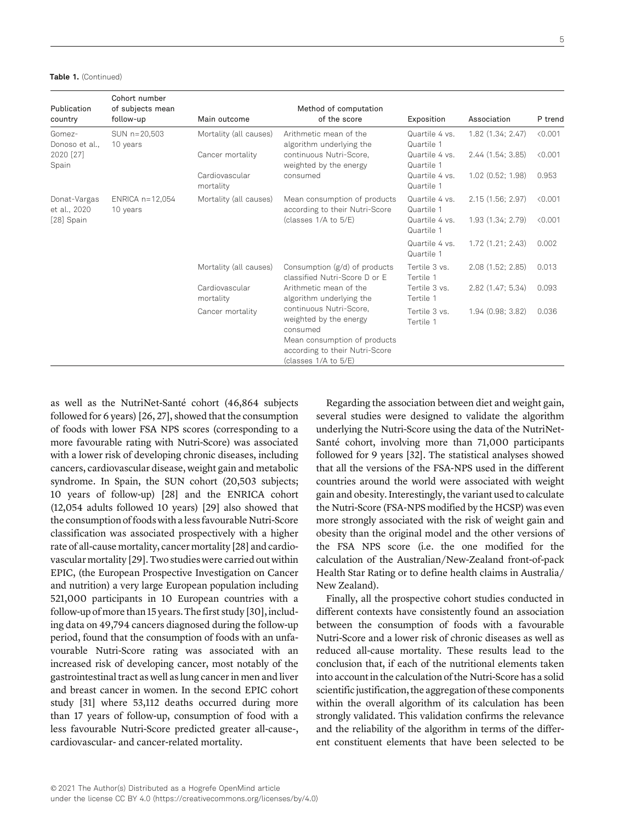| Table 1. (Continued) |  |
|----------------------|--|
|----------------------|--|

| Publication<br>country                       | Cohort number<br>of subjects mean<br>follow-up | Main outcome                | Method of computation<br>of the score                                                                                                                   | Exposition                   | Association         | P trend |
|----------------------------------------------|------------------------------------------------|-----------------------------|---------------------------------------------------------------------------------------------------------------------------------------------------------|------------------------------|---------------------|---------|
| Gomez-<br>Donoso et al<br>2020 [27]<br>Spain | SUN n=20,503<br>10 years                       | Mortality (all causes)      | Arithmetic mean of the<br>algorithm underlying the                                                                                                      | Quartile 4 vs.<br>Quartile 1 | 1.82(1.34; 2.47)    | < 0.001 |
|                                              |                                                | Cancer mortality            | continuous Nutri-Score.<br>weighted by the energy                                                                                                       | Quartile 4 vs.<br>Quartile 1 | 2.44(1.54; 3.85)    | < 0.001 |
|                                              |                                                | Cardiovascular<br>mortality | consumed                                                                                                                                                | Quartile 4 vs.<br>Quartile 1 | $1.02$ (0.52; 1.98) | 0.953   |
| Donat-Vargas<br>et al., 2020<br>[28] Spain   | ENRICA $n=12,054$<br>10 years                  | Mortality (all causes)      | Mean consumption of products<br>according to their Nutri-Score<br>(classes 1/A to 5/E)                                                                  | Quartile 4 vs.<br>Quartile 1 | 2.15(1.56; 2.97)    | < 0.001 |
|                                              |                                                |                             |                                                                                                                                                         | Quartile 4 vs.<br>Quartile 1 | 1.93 (1.34; 2.79)   | < 0.001 |
|                                              |                                                |                             |                                                                                                                                                         | Quartile 4 vs.<br>Quartile 1 | 1.72(1.21; 2.43)    | 0.002   |
|                                              |                                                | Mortality (all causes)      | Consumption (g/d) of products<br>classified Nutri-Score D or E                                                                                          | Tertile 3 vs.<br>Tertile 1   | 2.08 (1.52; 2.85)   | 0.013   |
|                                              |                                                | Cardiovascular<br>mortality | Arithmetic mean of the<br>algorithm underlying the                                                                                                      | Tertile 3 vs.<br>Tertile 1   | 2.82 (1.47; 5.34)   | 0.093   |
|                                              |                                                | Cancer mortality            | continuous Nutri-Score.<br>weighted by the energy<br>consumed<br>Mean consumption of products<br>according to their Nutri-Score<br>(classes 1/A to 5/E) | Tertile 3 vs.<br>Tertile 1   | 1.94(0.98; 3.82)    | 0.036   |

5

as well as the NutriNet-Santé cohort (46,864 subjects followed for 6 years) [26, 27], showed that the consumption of foods with lower FSA NPS scores (corresponding to a more favourable rating with Nutri-Score) was associated with a lower risk of developing chronic diseases, including cancers, cardiovascular disease, weight gain and metabolic syndrome. In Spain, the SUN cohort (20,503 subjects; 10 years of follow-up) [28] and the ENRICA cohort (12,054 adults followed 10 years) [29] also showed that the consumption of foods with a less favourable Nutri-Score classification was associated prospectively with a higher rate of all-cause mortality, cancer mortality [28] and cardiovascular mortality [29]. Two studies were carried out within EPIC, (the European Prospective Investigation on Cancer and nutrition) a very large European population including 521,000 participants in 10 European countries with a follow-up of more than 15 years. The first study [30], including data on 49,794 cancers diagnosed during the follow-up period, found that the consumption of foods with an unfavourable Nutri-Score rating was associated with an increased risk of developing cancer, most notably of the gastrointestinal tract as well as lung cancer in men and liver and breast cancer in women. In the second EPIC cohort study [31] where 53,112 deaths occurred during more than 17 years of follow-up, consumption of food with a less favourable Nutri-Score predicted greater all-cause-, cardiovascular- and cancer-related mortality.

Regarding the association between diet and weight gain, several studies were designed to validate the algorithm underlying the Nutri-Score using the data of the NutriNet-Santé cohort, involving more than 71,000 participants followed for 9 years [32]. The statistical analyses showed that all the versions of the FSA-NPS used in the different countries around the world were associated with weight gain and obesity. Interestingly, the variant used to calculate the Nutri-Score (FSA-NPS modified by the HCSP) was even more strongly associated with the risk of weight gain and obesity than the original model and the other versions of the FSA NPS score (i.e. the one modified for the calculation of the Australian/New-Zealand front-of-pack Health Star Rating or to define health claims in Australia/ New Zealand).

Finally, all the prospective cohort studies conducted in different contexts have consistently found an association between the consumption of foods with a favourable Nutri-Score and a lower risk of chronic diseases as well as reduced all-cause mortality. These results lead to the conclusion that, if each of the nutritional elements taken into account in the calculation of the Nutri-Score has a solid scientific justification, the aggregation of these components within the overall algorithm of its calculation has been strongly validated. This validation confirms the relevance and the reliability of the algorithm in terms of the different constituent elements that have been selected to be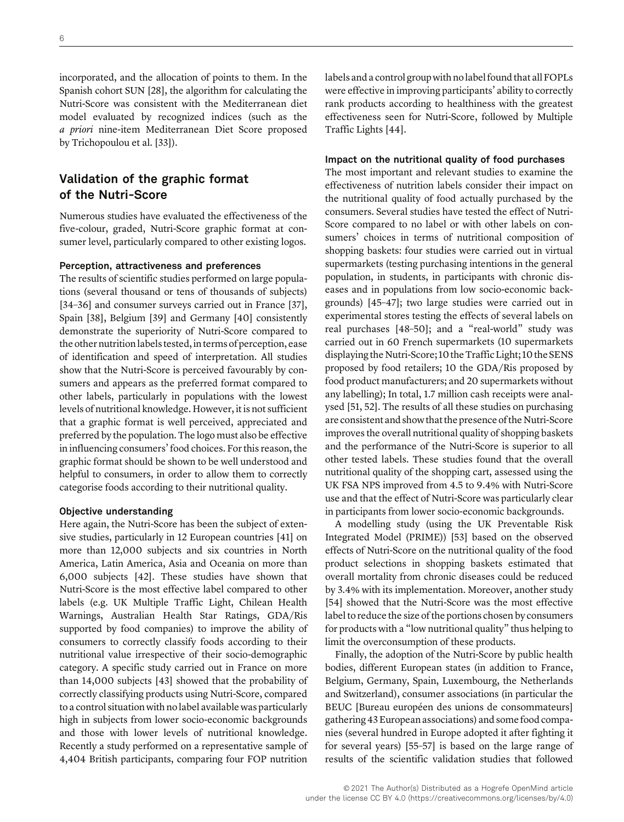incorporated, and the allocation of points to them. In the Spanish cohort SUN [28], the algorithm for calculating the Nutri-Score was consistent with the Mediterranean diet model evaluated by recognized indices (such as the a priori nine-item Mediterranean Diet Score proposed by Trichopoulou et al. [33]).

### Validation of the graphic format of the Nutri-Score

Numerous studies have evaluated the effectiveness of the five-colour, graded, Nutri-Score graphic format at consumer level, particularly compared to other existing logos.

#### Perception, attractiveness and preferences

The results of scientific studies performed on large populations (several thousand or tens of thousands of subjects) [34–36] and consumer surveys carried out in France [37], Spain [38], Belgium [39] and Germany [40] consistently demonstrate the superiority of Nutri-Score compared to the other nutrition labels tested, in terms of perception, ease of identification and speed of interpretation. All studies show that the Nutri-Score is perceived favourably by consumers and appears as the preferred format compared to other labels, particularly in populations with the lowest levels of nutritional knowledge. However, it is not sufficient that a graphic format is well perceived, appreciated and preferred by the population. The logo must also be effective in influencing consumers' food choices. For this reason, the graphic format should be shown to be well understood and helpful to consumers, in order to allow them to correctly categorise foods according to their nutritional quality.

#### Objective understanding

Here again, the Nutri-Score has been the subject of extensive studies, particularly in 12 European countries [41] on more than 12,000 subjects and six countries in North America, Latin America, Asia and Oceania on more than 6,000 subjects [42]. These studies have shown that Nutri-Score is the most effective label compared to other labels (e.g. UK Multiple Traffic Light, Chilean Health Warnings, Australian Health Star Ratings, GDA/Ris supported by food companies) to improve the ability of consumers to correctly classify foods according to their nutritional value irrespective of their socio-demographic category. A specific study carried out in France on more than 14,000 subjects [43] showed that the probability of correctly classifying products using Nutri-Score, compared to a control situation with no label available was particularly high in subjects from lower socio-economic backgrounds and those with lower levels of nutritional knowledge. Recently a study performed on a representative sample of 4,404 British participants, comparing four FOP nutrition

labels and a control group with no label found that all FOPLs were effective in improving participants' ability to correctly rank products according to healthiness with the greatest effectiveness seen for Nutri-Score, followed by Multiple Traffic Lights [44].

#### Impact on the nutritional quality of food purchases

The most important and relevant studies to examine the effectiveness of nutrition labels consider their impact on the nutritional quality of food actually purchased by the consumers. Several studies have tested the effect of Nutri-Score compared to no label or with other labels on consumers' choices in terms of nutritional composition of shopping baskets: four studies were carried out in virtual supermarkets (testing purchasing intentions in the general population, in students, in participants with chronic diseases and in populations from low socio-economic backgrounds) [45–47]; two large studies were carried out in experimental stores testing the effects of several labels on real purchases [48–50]; and a "real-world" study was carried out in 60 French supermarkets (10 supermarkets displaying the Nutri-Score; 10 the Traffic Light; 10 the SENS proposed by food retailers; 10 the GDA/Ris proposed by food product manufacturers; and 20 supermarkets without any labelling); In total, 1.7 million cash receipts were analysed [51, 52]. The results of all these studies on purchasing are consistent and show that the presence of the Nutri-Score improves the overall nutritional quality of shopping baskets and the performance of the Nutri-Score is superior to all other tested labels. These studies found that the overall nutritional quality of the shopping cart, assessed using the UK FSA NPS improved from 4.5 to 9.4% with Nutri-Score use and that the effect of Nutri-Score was particularly clear in participants from lower socio-economic backgrounds.

A modelling study (using the UK Preventable Risk Integrated Model (PRIME)) [53] based on the observed effects of Nutri-Score on the nutritional quality of the food product selections in shopping baskets estimated that overall mortality from chronic diseases could be reduced by 3.4% with its implementation. Moreover, another study [54] showed that the Nutri-Score was the most effective label to reduce the size of the portions chosen by consumers for products with a "low nutritional quality" thus helping to limit the overconsumption of these products.

Finally, the adoption of the Nutri-Score by public health bodies, different European states (in addition to France, Belgium, Germany, Spain, Luxembourg, the Netherlands and Switzerland), consumer associations (in particular the BEUC [Bureau européen des unions de consommateurs] gathering43European associations) and some food companies (several hundred in Europe adopted it after fighting it for several years) [55–57] is based on the large range of results of the scientific validation studies that followed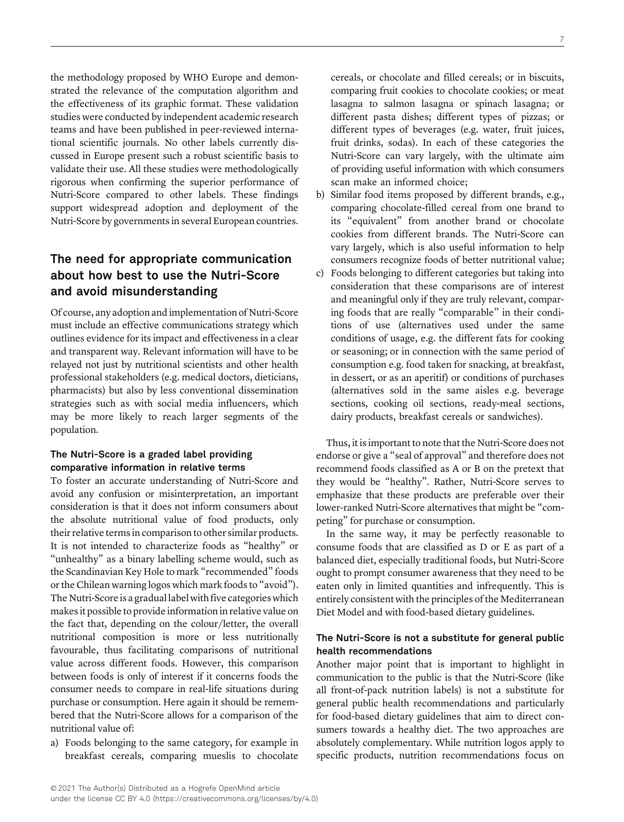the methodology proposed by WHO Europe and demonstrated the relevance of the computation algorithm and the effectiveness of its graphic format. These validation studies were conducted by independent academic research teams and have been published in peer-reviewed international scientific journals. No other labels currently discussed in Europe present such a robust scientific basis to validate their use. All these studies were methodologically rigorous when confirming the superior performance of Nutri-Score compared to other labels. These findings support widespread adoption and deployment of the Nutri-Score by governments in several European countries.

### The need for appropriate communication about how best to use the Nutri-Score and avoid misunderstanding

Of course, any adoption and implementation of Nutri-Score must include an effective communications strategy which outlines evidence for its impact and effectiveness in a clear and transparent way. Relevant information will have to be relayed not just by nutritional scientists and other health professional stakeholders (e.g. medical doctors, dieticians, pharmacists) but also by less conventional dissemination strategies such as with social media influencers, which may be more likely to reach larger segments of the population.

### The Nutri-Score is a graded label providing comparative information in relative terms

To foster an accurate understanding of Nutri-Score and avoid any confusion or misinterpretation, an important consideration is that it does not inform consumers about the absolute nutritional value of food products, only their relative terms in comparison to other similar products. It is not intended to characterize foods as "healthy" or "unhealthy" as a binary labelling scheme would, such as the Scandinavian Key Hole to mark "recommended" foods or the Chilean warning logos which mark foods to "avoid"). The Nutri-Score is a gradual label with five categories which makes it possible to provide information in relative value on the fact that, depending on the colour/letter, the overall nutritional composition is more or less nutritionally favourable, thus facilitating comparisons of nutritional value across different foods. However, this comparison between foods is only of interest if it concerns foods the consumer needs to compare in real-life situations during purchase or consumption. Here again it should be remembered that the Nutri-Score allows for a comparison of the nutritional value of:

a) Foods belonging to the same category, for example in breakfast cereals, comparing mueslis to chocolate

cereals, or chocolate and filled cereals; or in biscuits, comparing fruit cookies to chocolate cookies; or meat lasagna to salmon lasagna or spinach lasagna; or different pasta dishes; different types of pizzas; or different types of beverages (e.g. water, fruit juices, fruit drinks, sodas). In each of these categories the Nutri-Score can vary largely, with the ultimate aim of providing useful information with which consumers scan make an informed choice;

- b) Similar food items proposed by different brands, e.g., comparing chocolate-filled cereal from one brand to its "equivalent" from another brand or chocolate cookies from different brands. The Nutri-Score can vary largely, which is also useful information to help consumers recognize foods of better nutritional value;
- c) Foods belonging to different categories but taking into consideration that these comparisons are of interest and meaningful only if they are truly relevant, comparing foods that are really "comparable" in their conditions of use (alternatives used under the same conditions of usage, e.g. the different fats for cooking or seasoning; or in connection with the same period of consumption e.g. food taken for snacking, at breakfast, in dessert, or as an aperitif) or conditions of purchases (alternatives sold in the same aisles e.g. beverage sections, cooking oil sections, ready-meal sections, dairy products, breakfast cereals or sandwiches).

Thus, it is important to note that the Nutri-Score does not endorse or give a "seal of approval" and therefore does not recommend foods classified as A or B on the pretext that they would be "healthy". Rather, Nutri-Score serves to emphasize that these products are preferable over their lower-ranked Nutri-Score alternatives that might be "competing" for purchase or consumption.

In the same way, it may be perfectly reasonable to consume foods that are classified as D or E as part of a balanced diet, especially traditional foods, but Nutri-Score ought to prompt consumer awareness that they need to be eaten only in limited quantities and infrequently. This is entirely consistent with the principles of the Mediterranean Diet Model and with food-based dietary guidelines.

### The Nutri-Score is not a substitute for general public health recommendations

Another major point that is important to highlight in communication to the public is that the Nutri-Score (like all front-of-pack nutrition labels) is not a substitute for general public health recommendations and particularly for food-based dietary guidelines that aim to direct consumers towards a healthy diet. The two approaches are absolutely complementary. While nutrition logos apply to specific products, nutrition recommendations focus on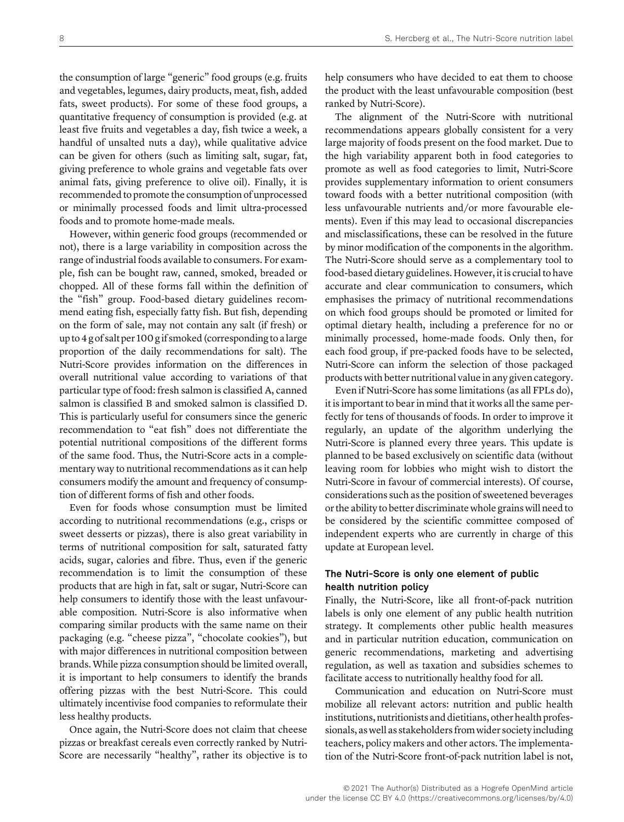the consumption of large "generic" food groups (e.g. fruits and vegetables, legumes, dairy products, meat, fish, added fats, sweet products). For some of these food groups, a quantitative frequency of consumption is provided (e.g. at least five fruits and vegetables a day, fish twice a week, a handful of unsalted nuts a day), while qualitative advice can be given for others (such as limiting salt, sugar, fat, giving preference to whole grains and vegetable fats over animal fats, giving preference to olive oil). Finally, it is recommended to promote the consumption of unprocessed or minimally processed foods and limit ultra-processed foods and to promote home-made meals.

However, within generic food groups (recommended or not), there is a large variability in composition across the range of industrial foods available to consumers. For example, fish can be bought raw, canned, smoked, breaded or chopped. All of these forms fall within the definition of the "fish" group. Food-based dietary guidelines recommend eating fish, especially fatty fish. But fish, depending on the form of sale, may not contain any salt (if fresh) or up to4g of salt per 100g if smoked (corresponding to alarge proportion of the daily recommendations for salt). The Nutri-Score provides information on the differences in overall nutritional value according to variations of that particular type of food: fresh salmon is classified A, canned salmon is classified B and smoked salmon is classified D. This is particularly useful for consumers since the generic recommendation to "eat fish" does not differentiate the potential nutritional compositions of the different forms of the same food. Thus, the Nutri-Score acts in a complementary way to nutritional recommendations as it can help consumers modify the amount and frequency of consumption of different forms of fish and other foods.

Even for foods whose consumption must be limited according to nutritional recommendations (e.g., crisps or sweet desserts or pizzas), there is also great variability in terms of nutritional composition for salt, saturated fatty acids, sugar, calories and fibre. Thus, even if the generic recommendation is to limit the consumption of these products that are high in fat, salt or sugar, Nutri-Score can help consumers to identify those with the least unfavourable composition. Nutri-Score is also informative when comparing similar products with the same name on their packaging (e.g. "cheese pizza", "chocolate cookies"), but with major differences in nutritional composition between brands. While pizza consumption should be limited overall, it is important to help consumers to identify the brands offering pizzas with the best Nutri-Score. This could ultimately incentivise food companies to reformulate their less healthy products.

Once again, the Nutri-Score does not claim that cheese pizzas or breakfast cereals even correctly ranked by Nutri-Score are necessarily "healthy", rather its objective is to help consumers who have decided to eat them to choose the product with the least unfavourable composition (best ranked by Nutri-Score).

The alignment of the Nutri-Score with nutritional recommendations appears globally consistent for a very large majority of foods present on the food market. Due to the high variability apparent both in food categories to promote as well as food categories to limit, Nutri-Score provides supplementary information to orient consumers toward foods with a better nutritional composition (with less unfavourable nutrients and/or more favourable elements). Even if this may lead to occasional discrepancies and misclassifications, these can be resolved in the future by minor modification of the components in the algorithm. The Nutri-Score should serve as a complementary tool to food-based dietary guidelines. However, it is crucial to have accurate and clear communication to consumers, which emphasises the primacy of nutritional recommendations on which food groups should be promoted or limited for optimal dietary health, including a preference for no or minimally processed, home-made foods. Only then, for each food group, if pre-packed foods have to be selected, Nutri-Score can inform the selection of those packaged products with better nutritional value in any given category.

Even if Nutri-Score has some limitations (as all FPLs do), it is important to bear in mind that it works all the same perfectly for tens of thousands of foods. In order to improve it regularly, an update of the algorithm underlying the Nutri-Score is planned every three years. This update is planned to be based exclusively on scientific data (without leaving room for lobbies who might wish to distort the Nutri-Score in favour of commercial interests). Of course, considerations such as the position of sweetened beverages or the ability to better discriminate whole grains will need to be considered by the scientific committee composed of independent experts who are currently in charge of this update at European level.

### The Nutri-Score is only one element of public health nutrition policy

Finally, the Nutri-Score, like all front-of-pack nutrition labels is only one element of any public health nutrition strategy. It complements other public health measures and in particular nutrition education, communication on generic recommendations, marketing and advertising regulation, as well as taxation and subsidies schemes to facilitate access to nutritionally healthy food for all.

Communication and education on Nutri-Score must mobilize all relevant actors: nutrition and public health institutions, nutritionists and dietitians, other health professionals, as well as stakeholders from wider society including teachers, policy makers and other actors. The implementation of the Nutri-Score front-of-pack nutrition label is not,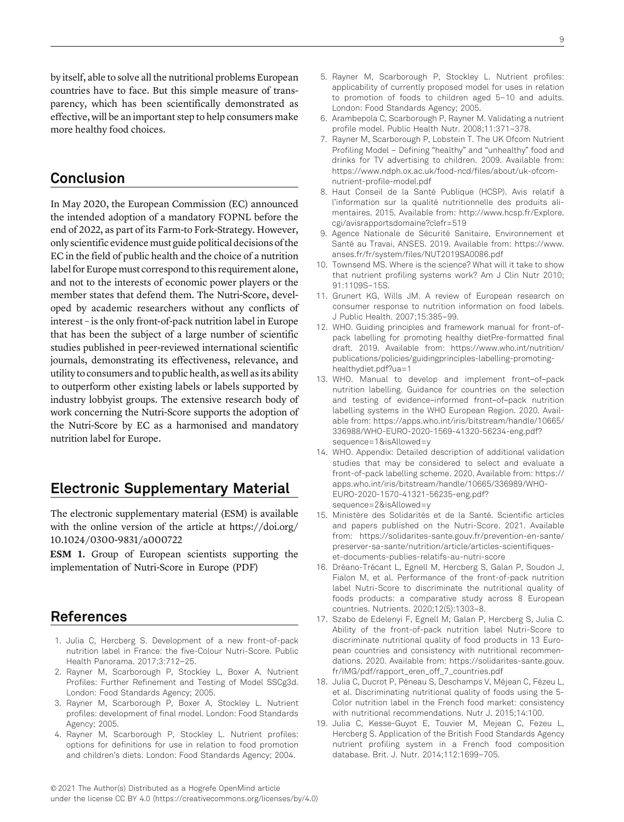by itself, able to solve all the nutritional problems European countries have to face. But this simple measure of transparency, which has been scientifically demonstrated as effective, will be an important step to help consumers make more healthy food choices.

### Conclusion

In May 2020, the European Commission (EC) announced the intended adoption of a mandatory FOPNL before the end of 2022, as part of its Farm-to Fork-Strategy. However, only scientific evidence must guide political decisions of the EC in the field of public health and the choice of a nutrition label for Europe must correspond to this requirement alone, and not to the interests of economic power players or the member states that defend them. The Nutri-Score, developed by academic researchers without any conflicts of interest – is the only front-of-pack nutrition label in Europe that has been the subject of a large number of scientific studies published in peer-reviewed international scientific journals, demonstrating its effectiveness, relevance, and utility to consumers and to public health, as well as its ability to outperform other existing labels or labels supported by industry lobbyist groups. The extensive research body of work concerning the Nutri-Score supports the adoption of the Nutri-Score by EC as a harmonised and mandatory nutrition label for Europe.

### Electronic Supplementary Material

The electronic supplementary material (ESM) is available with the online version of the article at [https://doi.org/](https://doi.org/10.1024/0300-9831/a000722) 10.1024/0300-9831/a[000722](https://doi.org/10.1024/0300-9831/a000722)

ESM 1. Group of European scientists supporting the implementation of Nutri-Score in Europe (PDF)

### References

- 1. Julia C, Hercberg S. Development of a new front-of-pack nutrition label in France: the five-Colour Nutri-Score. Public Health Panorama. 2017;3:712–25.
- 2. Rayner M, Scarborough P, Stockley L, Boxer A. Nutrient Profiles: Further Refinement and Testing of Model SSCg3d. London: Food Standards Agency; 2005.
- 3. Rayner M, Scarborough P, Boxer A, Stockley L. Nutrient profiles: development of final model. London: Food Standards Agency; 2005.
- 4. Rayner M, Scarborough P, Stockley L. Nutrient profiles: options for definitions for use in relation to food promotion and children's diets. London: Food Standards Agency; 2004.
- 5. Rayner M, Scarborough P, Stockley L. Nutrient profiles: applicability of currently proposed model for uses in relation to promotion of foods to children aged 5–10 and adults. London: Food Standards Agency; 2005.
- 6. Arambepola C, Scarborough P, Rayner M. Validating a nutrient profile model. Public Health Nutr. 2008;11:371–378.
- 7. Rayner M, Scarborough P, Lobstein T. The UK Ofcom Nutrient Profiling Model – Defining "healthy" and "unhealthy" food and drinks for TV advertising to children. 2009. [Available from:](http://dx.doi.org/) [https://www.ndph.ox.ac.uk/food-ncd/files/about/uk-ofcom](https://www.ndph.ox.ac.uk/food-ncd/files/about/uk-ofcom-nutrient-profile-model.pdf)[nutrient-profile-model.pdf](https://www.ndph.ox.ac.uk/food-ncd/files/about/uk-ofcom-nutrient-profile-model.pdf)
- 8. Haut Conseil de la Santé Publique (HCSP). Avis relatif à l'information sur la qualité nutritionnelle des produits alimentaires. 2015. [Available from: http://www.hcsp.fr/Explore.](http://www.hcsp.fr/Explore.cgi/avisrapportsdomaine?clefr=519) [cgi/avisrapportsdomaine?clefr=519](http://www.hcsp.fr/Explore.cgi/avisrapportsdomaine?clefr=519)
- 9. Agence Nationale de Sécurité Sanitaire, Environnement et Santé au Travai, ANSES. 2019. [Available from: https://www.](https://www.anses.fr/fr/system/files/NUT2019SA0086.pdf) [anses.fr/fr/system/files/NUT2019SA0086.pdf](https://www.anses.fr/fr/system/files/NUT2019SA0086.pdf)
- 10. Townsend MS. Where is the science? What will it take to show that nutrient profiling systems work? Am J Clin Nutr 2010; 91:1109S–15S.
- 11. Grunert KG, Wills JM. A review of European research on consumer response to nutrition information on food labels. J Public Health. 2007;15:385–99.
- 12. WHO. Guiding principles and framework manual for front-ofpack labelling for promoting healthy dietPre-formatted final draft. 2019. [Available from: https://www.who.int/nutrition/](https://www.who.int/nutrition/publications/policies/guidingprinciples-labelling-promoting-healthydiet.pdf?ua=1) [publications/policies/guidingprinciples-labelling-promoting](https://www.who.int/nutrition/publications/policies/guidingprinciples-labelling-promoting-healthydiet.pdf?ua=1)[healthydiet.pdf?ua=1](https://www.who.int/nutrition/publications/policies/guidingprinciples-labelling-promoting-healthydiet.pdf?ua=1)
- 13. WHO. Manual to develop and implement front-of-pack nutrition labelling. Guidance for countries on the selection and testing of evidence-informed front-of-pack nutrition labelling systems in the WHO European Region. 2020. [Avail](http://dx.doi.org/)[able from: https://apps.who.int/iris/bitstream/handle/10665/](https://apps.who.int/iris/bitstream/handle/10665/336988/WHO-EURO-2020-1569-41320-56234-eng.pdf?sequence=1&isAllowed=y) [336988/WHO-EURO-2020-1569-41320-56234-eng.pdf?](https://apps.who.int/iris/bitstream/handle/10665/336988/WHO-EURO-2020-1569-41320-56234-eng.pdf?sequence=1&isAllowed=y) [sequence=1&isAllowed=y](https://apps.who.int/iris/bitstream/handle/10665/336988/WHO-EURO-2020-1569-41320-56234-eng.pdf?sequence=1&isAllowed=y)
- 14. WHO. Appendix: Detailed description of additional validation studies that may be considered to select and evaluate a front-of-pack labelling scheme. 2020. [Available from: https://](https://apps.who.int/iris/bitstream/handle/10665/336989/WHO-EURO-2020-1570-41321-56235-eng.pdf?sequence=2&isAllowed=y) [apps.who.int/iris/bitstream/handle/10665/336989/WHO-](https://apps.who.int/iris/bitstream/handle/10665/336989/WHO-EURO-2020-1570-41321-56235-eng.pdf?sequence=2&isAllowed=y)[EURO-2020-1570-41321-56235-eng.pdf?](https://apps.who.int/iris/bitstream/handle/10665/336989/WHO-EURO-2020-1570-41321-56235-eng.pdf?sequence=2&isAllowed=y) [sequence=2&isAllowed=y](https://apps.who.int/iris/bitstream/handle/10665/336989/WHO-EURO-2020-1570-41321-56235-eng.pdf?sequence=2&isAllowed=y)
- 15. Ministère des Solidarités et de la Santé. Scientific articles and papers published on the Nutri-Score. 2021. [Available](http://dx.doi.org/) [from: https://solidarites-sante.gouv.fr/prevention-en-sante/](https://solidarites-sante.gouv.fr/prevention-en-sante/preserver-sa-sante/nutrition/article/articles-scientifiques-et-documents-publies-relatifs-au-nutri-score) [preserver-sa-sante/nutrition/article/articles-scientifiques](https://solidarites-sante.gouv.fr/prevention-en-sante/preserver-sa-sante/nutrition/article/articles-scientifiques-et-documents-publies-relatifs-au-nutri-score)[et-documents-publies-relatifs-au-nutri-score](https://solidarites-sante.gouv.fr/prevention-en-sante/preserver-sa-sante/nutrition/article/articles-scientifiques-et-documents-publies-relatifs-au-nutri-score)
- 16. Dréano-Trécant L, Egnell M, Hercberg S, Galan P, Soudon J, Fialon M, et al. Performance of the front-of-pack nutrition label Nutri-Score to discriminate the nutritional quality of foods products: a comparative study across 8 European countries. Nutrients. 2020;12(5):1303–8.
- 17. Szabo de Edelenyi F, Egnell M, Galan P, Hercberg S, Julia C. Ability of the front-of-pack nutrition label Nutri-Score to discriminate nutritional quality of food products in 13 European countries and consistency with nutritional recommendations. 2020. [Available from: https://solidarites-sante.gouv.](https://solidarites-sante.gouv.fr/IMG/pdf/rapport_eren_off_7_countries.pdf) [fr/IMG/pdf/rapport\\_eren\\_off\\_7\\_countries.pdf](https://solidarites-sante.gouv.fr/IMG/pdf/rapport_eren_off_7_countries.pdf)
- 18. Julia C, Ducrot P, Péneau S, Deschamps V, Méjean C, Fézeu L, et al. Discriminating nutritional quality of foods using the 5- Color nutrition label in the French food market: consistency with nutritional recommendations. Nutr J. 2015;14:100.
- 19. Julia C, Kesse-Guyot E, Touvier M, Mejean C, Fezeu L, Hercberg S. Application of the British Food Standards Agency nutrient profiling system in a French food composition database. Brit. J. Nutr. 2014;112:1699–705.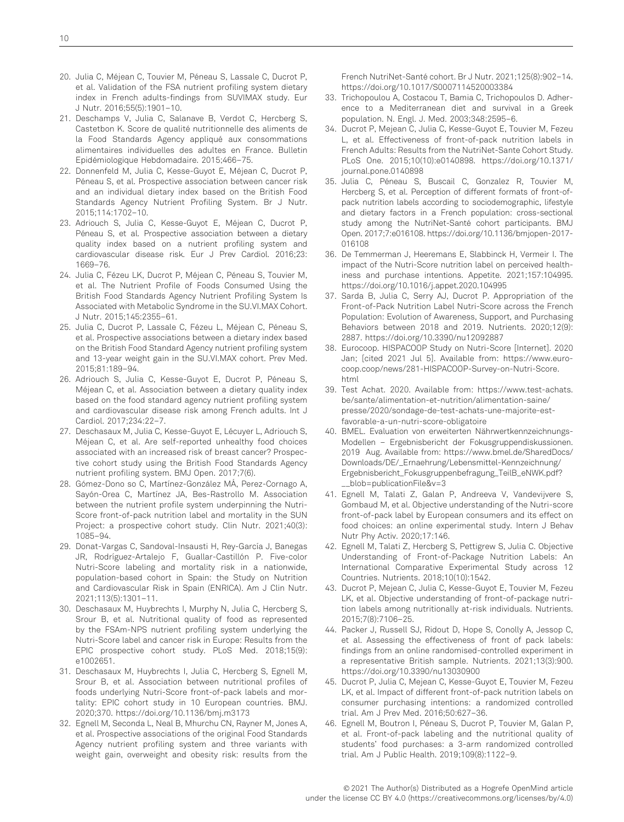- 20. Julia C, Méjean C, Touvier M, Péneau S, Lassale C, Ducrot P, et al. Validation of the FSA nutrient profiling system dietary index in French adults-findings from SUVIMAX study. Eur J Nutr. 2016;55(5):1901–10.
- 21. Deschamps V, Julia C, Salanave B, Verdot C, Hercberg S, Castetbon K. Score de qualité nutritionnelle des aliments de la Food Standards Agency appliqué aux consommations alimentaires individuelles des adultes en France. Bulletin Epidémiologique Hebdomadaire. 2015;466–75.
- 22. Donnenfeld M, Julia C, Kesse-Guyot E, Méjean C, Ducrot P, Péneau S, et al. Prospective association between cancer risk and an individual dietary index based on the British Food Standards Agency Nutrient Profiling System. Br J Nutr. 2015;114:1702–10.
- 23. Adriouch S, Julia C, Kesse-Guyot E, Méjean C, Ducrot P, Péneau S, et al. Prospective association between a dietary quality index based on a nutrient profiling system and cardiovascular disease risk. Eur J Prev Cardiol. 2016;23: 1669–76.
- 24. Julia C, Fézeu LK, Ducrot P, Méjean C, Péneau S, Touvier M, et al. The Nutrient Profile of Foods Consumed Using the British Food Standards Agency Nutrient Profiling System Is Associated with Metabolic Syndrome in the SU.VI.MAX Cohort. J Nutr. 2015;145:2355–61.
- 25. Julia C, Ducrot P, Lassale C, Fézeu L, Méjean C, Péneau S, et al. Prospective associations between a dietary index based on the British Food Standard Agency nutrient profiling system and 13-year weight gain in the SU.VI.MAX cohort. Prev Med. 2015;81:189–94.
- 26. Adriouch S, Julia C, Kesse-Guyot E, Ducrot P, Péneau S, Méjean C, et al. Association between a dietary quality index based on the food standard agency nutrient profiling system and cardiovascular disease risk among French adults. Int J Cardiol. 2017;234:22–7.
- 27. Deschasaux M, Julia C, Kesse-Guyot E, Lécuyer L, Adriouch S, Méjean C, et al. Are self-reported unhealthy food choices associated with an increased risk of breast cancer? Prospective cohort study using the British Food Standards Agency nutrient profiling system. BMJ Open. 2017;7(6).
- 28. Gómez-Dono so C, Martínez-González MÁ, Perez-Cornago A, Sayón-Orea C, Martínez JA, Bes-Rastrollo M. Association between the nutrient profile system underpinning the Nutri-Score front-of-pack nutrition label and mortality in the SUN Project: a prospective cohort study. Clin Nutr. 2021;40(3): 1085–94.
- 29. Donat-Vargas C, Sandoval-Insausti H, Rey-García J, Banegas JR, Rodríguez-Artalejo F, Guallar-Castillón P. Five-color Nutri-Score labeling and mortality risk in a nationwide, population-based cohort in Spain: the Study on Nutrition and Cardiovascular Risk in Spain (ENRICA). Am J Clin Nutr. 2021;113(5):1301–11.
- 30. Deschasaux M, Huybrechts I, Murphy N, Julia C, Hercberg S, Srour B, et al. Nutritional quality of food as represented by the FSAm-NPS nutrient profiling system underlying the Nutri-Score label and cancer risk in Europe: Results from the EPIC prospective cohort study. PLoS Med. 2018;15(9): e1002651.
- 31. Deschasaux M, Huybrechts I, Julia C, Hercberg S, Egnell M, Srour B, et al. Association between nutritional profiles of foods underlying Nutri-Score front-of-pack labels and mortality: EPIC cohort study in 10 European countries. BMJ. 2020;370.<https://doi.org/10.1136/bmj.m3173>
- 32. Egnell M, Seconda L, Neal B, Mhurchu CN, Rayner M, Jones A, et al. Prospective associations of the original Food Standards Agency nutrient profiling system and three variants with weight gain, overweight and obesity risk: results from the

French NutriNet-Santé cohort. Br J Nutr. 2021;125(8):902–14. <https://doi.org/10.1017/S0007114520003384>

- 33. Trichopoulou A, Costacou T, Bamia C, Trichopoulos D. Adherence to a Mediterranean diet and survival in a Greek population. N. Engl. J. Med. 2003;348:2595–6.
- 34. Ducrot P, Mejean C, Julia C, Kesse-Guyot E, Touvier M, Fezeu L, et al. Effectiveness of front-of-pack nutrition labels in French Adults: Results from the NutriNet-Sante Cohort Study. PLoS One. 2015;10(10):e0140898. [https://doi.org/10.1371/](https://doi.org/10.1371/journal.pone.0140898) [journal.pone.0140898](https://doi.org/10.1371/journal.pone.0140898)
- 35. Julia C, Péneau S, Buscail C, Gonzalez R, Touvier M, Hercberg S, et al. Perception of different formats of front-ofpack nutrition labels according to sociodemographic, lifestyle and dietary factors in a French population: cross-sectional study among the NutriNet-Santé cohort participants. BMJ Open. 2017;7:e016108. [https://doi.org/10.1136/bmjopen-2017-](https://doi.org/10.1136/bmjopen-2017-016108) [016108](https://doi.org/10.1136/bmjopen-2017-016108)
- 36. De Temmerman J, Heeremans E, Slabbinck H, Vermeir I. The impact of the Nutri-Score nutrition label on perceived healthiness and purchase intentions. Appetite. 2021;157:104995. <https://doi.org/10.1016/j.appet.2020.104995>
- 37. Sarda B, Julia C, Serry AJ, Ducrot P. Appropriation of the Front-of-Pack Nutrition Label Nutri-Score across the French Population: Evolution of Awareness, Support, and Purchasing Behaviors between 2018 and 2019. Nutrients. 2020;12(9): 2887.<https://doi.org/10.3390/nu12092887>
- 38. Eurocoop. HISPACOOP Study on Nutri-Score [Internet]. 2020 Jan; [\[cited 2021 Jul 5\]. Available from: https://www.euro](https://www.eurocoop.coop/news/281-HISPACOOP-Survey-on-Nutri-Score.html)[coop.coop/news/281-HISPACOOP-Survey-on-Nutri-Score.](https://www.eurocoop.coop/news/281-HISPACOOP-Survey-on-Nutri-Score.html) [html](https://www.eurocoop.coop/news/281-HISPACOOP-Survey-on-Nutri-Score.html)
- 39. Test Achat. 2020. [Available from: https://www.test-achats.](https://www.test-achats.be/sante/alimentation-et-nutrition/alimentation-saine/presse/2020/sondage-de-test-achats-une-majorite-est-favorable-a-un-nutri-score-obligatoire) [be/sante/alimentation-et-nutrition/alimentation-saine/](https://www.test-achats.be/sante/alimentation-et-nutrition/alimentation-saine/presse/2020/sondage-de-test-achats-une-majorite-est-favorable-a-un-nutri-score-obligatoire) [presse/2020/sondage-de-test-achats-une-majorite-est](https://www.test-achats.be/sante/alimentation-et-nutrition/alimentation-saine/presse/2020/sondage-de-test-achats-une-majorite-est-favorable-a-un-nutri-score-obligatoire)[favorable-a-un-nutri-score-obligatoire](https://www.test-achats.be/sante/alimentation-et-nutrition/alimentation-saine/presse/2020/sondage-de-test-achats-une-majorite-est-favorable-a-un-nutri-score-obligatoire)
- 40. BMEL. Evaluation von erweiterten Nährwertkennzeichnungs-Modellen – Ergebnisbericht der Fokusgruppendiskussionen. 2019 Aug. [Available from: https://www.bmel.de/SharedDocs/](https://www.bmel.de/SharedDocs/Downloads/DE/_Ernaehrung/Lebensmittel-Kennzeichnung/Ergebnisbericht_Fokusgruppenbefragung_TeilB_eNWK.pdf?__blob=publicationFile&v=3) [Downloads/DE/\\_Ernaehrung/Lebensmittel-Kennzeichnung/](https://www.bmel.de/SharedDocs/Downloads/DE/_Ernaehrung/Lebensmittel-Kennzeichnung/Ergebnisbericht_Fokusgruppenbefragung_TeilB_eNWK.pdf?__blob=publicationFile&v=3) [Ergebnisbericht\\_Fokusgruppenbefragung\\_TeilB\\_eNWK.pdf?](https://www.bmel.de/SharedDocs/Downloads/DE/_Ernaehrung/Lebensmittel-Kennzeichnung/Ergebnisbericht_Fokusgruppenbefragung_TeilB_eNWK.pdf?__blob=publicationFile&v=3) [\\_\\_blob=publicationFile&v=3](https://www.bmel.de/SharedDocs/Downloads/DE/_Ernaehrung/Lebensmittel-Kennzeichnung/Ergebnisbericht_Fokusgruppenbefragung_TeilB_eNWK.pdf?__blob=publicationFile&v=3)
- 41. Egnell M, Talati Z, Galan P, Andreeva V, Vandevijvere S, Gombaud M, et al. Objective understanding of the Nutri-score front-of-pack label by European consumers and its effect on food choices: an online experimental study. Intern J Behav Nutr Phy Activ. 2020;17:146.
- 42. Egnell M, Talati Z, Hercberg S, Pettigrew S, Julia C. Objective Understanding of Front-of-Package Nutrition Labels: An International Comparative Experimental Study across 12 Countries. Nutrients. 2018;10(10):1542.
- 43. Ducrot P, Mejean C, Julia C, Kesse-Guyot E, Touvier M, Fezeu LK, et al. Objective understanding of front-of-package nutrition labels among nutritionally at-risk individuals. Nutrients. 2015;7(8):7106–25.
- 44. Packer J, Russell SJ, Ridout D, Hope S, Conolly A, Jessop C, et al. Assessing the effectiveness of front of pack labels: findings from an online randomised-controlled experiment in a representative British sample. Nutrients. 2021;13(3):900. <https://doi.org/10.3390/nu13030900>
- 45. Ducrot P, Julia C, Mejean C, Kesse-Guyot E, Touvier M, Fezeu LK, et al. Impact of different front-of-pack nutrition labels on consumer purchasing intentions: a randomized controlled trial. Am J Prev Med. 2016;50:627–36.
- 46. Egnell M, Boutron I, Péneau S, Ducrot P, Touvier M, Galan P, et al. Front-of-pack labeling and the nutritional quality of students' food purchases: a 3-arm randomized controlled trial. Am J Public Health. 2019;109(8):1122–9.